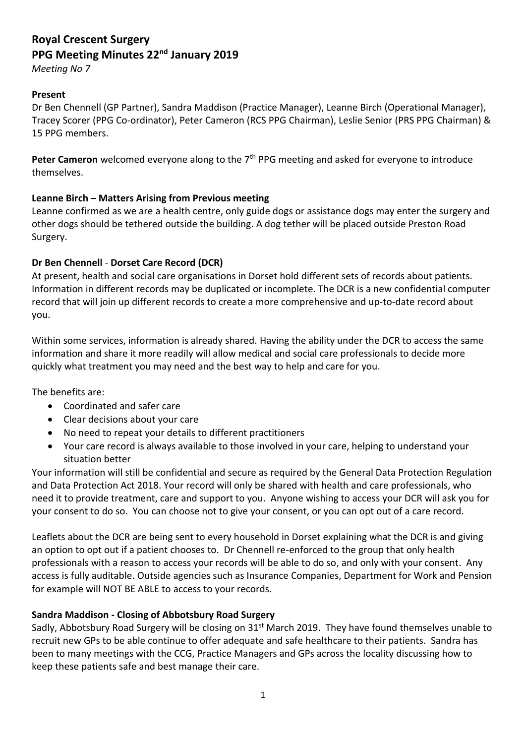# **Royal Crescent Surgery PPG Meeting Minutes 22nd January 2019**

*Meeting No 7*

# **Present**

Dr Ben Chennell (GP Partner), Sandra Maddison (Practice Manager), Leanne Birch (Operational Manager), Tracey Scorer (PPG Co-ordinator), Peter Cameron (RCS PPG Chairman), Leslie Senior (PRS PPG Chairman) & 15 PPG members.

Peter Cameron welcomed everyone along to the 7<sup>th</sup> PPG meeting and asked for everyone to introduce themselves.

# **Leanne Birch – Matters Arising from Previous meeting**

Leanne confirmed as we are a health centre, only guide dogs or assistance dogs may enter the surgery and other dogs should be tethered outside the building. A dog tether will be placed outside Preston Road Surgery.

# **Dr Ben Chennell** - **Dorset Care Record (DCR)**

At present, health and social care organisations in Dorset hold different sets of records about patients. Information in different records may be duplicated or incomplete. The DCR is a new confidential computer record that will join up different records to create a more comprehensive and up-to-date record about you.

Within some services, information is already shared. Having the ability under the DCR to access the same information and share it more readily will allow medical and social care professionals to decide more quickly what treatment you may need and the best way to help and care for you.

The benefits are:

- Coordinated and safer care
- Clear decisions about your care
- No need to repeat your details to different practitioners
- Your care record is always available to those involved in your care, helping to understand your situation better

Your information will still be confidential and secure as required by the General Data Protection Regulation and Data Protection Act 2018. Your record will only be shared with health and care professionals, who need it to provide treatment, care and support to you. Anyone wishing to access your DCR will ask you for your consent to do so. You can choose not to give your consent, or you can opt out of a care record.

Leaflets about the DCR are being sent to every household in Dorset explaining what the DCR is and giving an option to opt out if a patient chooses to. Dr Chennell re-enforced to the group that only health professionals with a reason to access your records will be able to do so, and only with your consent. Any access is fully auditable. Outside agencies such as Insurance Companies, Department for Work and Pension for example will NOT BE ABLE to access to your records.

#### **Sandra Maddison - Closing of Abbotsbury Road Surgery**

Sadly, Abbotsbury Road Surgery will be closing on 31<sup>st</sup> March 2019. They have found themselves unable to recruit new GPs to be able continue to offer adequate and safe healthcare to their patients. Sandra has been to many meetings with the CCG, Practice Managers and GPs across the locality discussing how to keep these patients safe and best manage their care.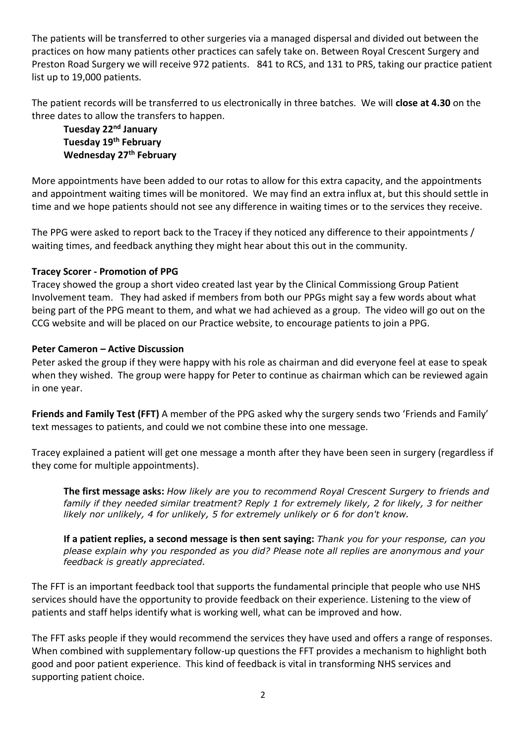The patients will be transferred to other surgeries via a managed dispersal and divided out between the practices on how many patients other practices can safely take on. Between Royal Crescent Surgery and Preston Road Surgery we will receive 972 patients. 841 to RCS, and 131 to PRS, taking our practice patient list up to 19,000 patients.

The patient records will be transferred to us electronically in three batches. We will **close at 4.30** on the three dates to allow the transfers to happen.

**Tuesday 22nd January Tuesday 19th February Wednesday 27th February**

More appointments have been added to our rotas to allow for this extra capacity, and the appointments and appointment waiting times will be monitored. We may find an extra influx at, but this should settle in time and we hope patients should not see any difference in waiting times or to the services they receive.

The PPG were asked to report back to the Tracey if they noticed any difference to their appointments / waiting times, and feedback anything they might hear about this out in the community.

# **Tracey Scorer - Promotion of PPG**

Tracey showed the group a short video created last year by the Clinical Commissiong Group Patient Involvement team. They had asked if members from both our PPGs might say a few words about what being part of the PPG meant to them, and what we had achieved as a group. The video will go out on the CCG website and will be placed on our Practice website, to encourage patients to join a PPG.

#### **Peter Cameron – Active Discussion**

Peter asked the group if they were happy with his role as chairman and did everyone feel at ease to speak when they wished. The group were happy for Peter to continue as chairman which can be reviewed again in one year.

**Friends and Family Test (FFT)** A member of the PPG asked why the surgery sends two 'Friends and Family' text messages to patients, and could we not combine these into one message.

Tracey explained a patient will get one message a month after they have been seen in surgery (regardless if they come for multiple appointments).

**The first message asks:** *How likely are you to recommend Royal Crescent Surgery to friends and family if they needed similar treatment? Reply 1 for extremely likely, 2 for likely, 3 for neither likely nor unlikely, 4 for unlikely, 5 for extremely unlikely or 6 for don't know.*

**If a patient replies, a second message is then sent saying:** *Thank you for your response, can you please explain why you responded as you did? Please note all replies are anonymous and your feedback is greatly appreciated.*

The FFT is an important feedback tool that supports the fundamental principle that people who use NHS services should have the opportunity to provide feedback on their experience. Listening to the view of patients and staff helps identify what is working well, what can be improved and how.

The FFT asks people if they would recommend the services they have used and offers a range of responses. When combined with supplementary follow-up questions the FFT provides a mechanism to highlight both good and poor patient experience. This kind of feedback is vital in transforming NHS services and supporting patient choice.